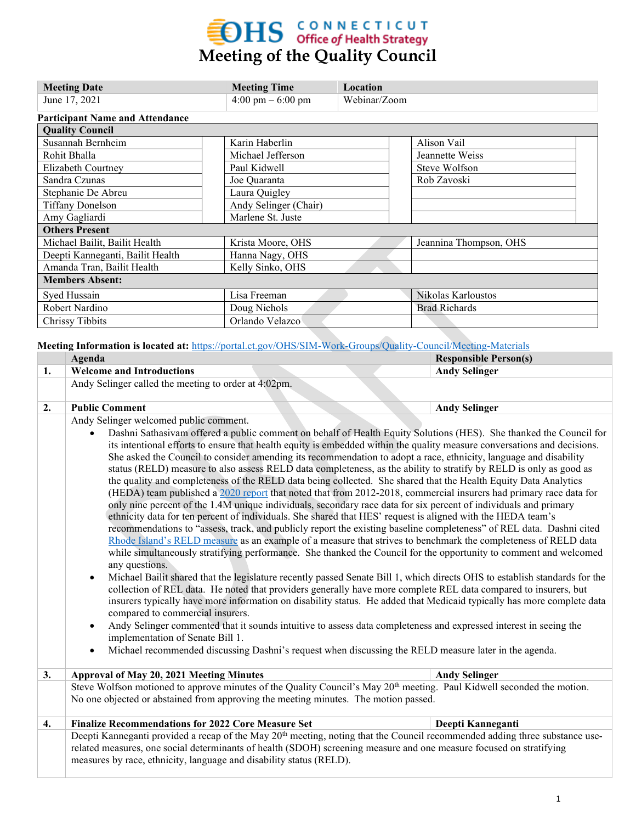# **EDHS** CONNECTICUT<br>
Meeting of the Quality Council

| <b>Meeting Date</b>                    | <b>Meeting Time</b>                 | Location     |                        |  |  |  |  |
|----------------------------------------|-------------------------------------|--------------|------------------------|--|--|--|--|
| June 17, 2021                          | $4:00 \text{ pm} - 6:00 \text{ pm}$ | Webinar/Zoom |                        |  |  |  |  |
| <b>Participant Name and Attendance</b> |                                     |              |                        |  |  |  |  |
| <b>Quality Council</b>                 |                                     |              |                        |  |  |  |  |
| Susannah Bernheim                      | Karin Haberlin                      |              | Alison Vail            |  |  |  |  |
| Rohit Bhalla                           | Michael Jefferson                   |              | Jeannette Weiss        |  |  |  |  |
| Elizabeth Courtney                     | Paul Kidwell                        |              | Steve Wolfson          |  |  |  |  |
| Sandra Czunas                          | Joe Quaranta                        |              | Rob Zavoski            |  |  |  |  |
| Stephanie De Abreu                     | Laura Quigley                       |              |                        |  |  |  |  |
| <b>Tiffany Donelson</b>                | Andy Selinger (Chair)               |              |                        |  |  |  |  |
| Amy Gagliardi                          | Marlene St. Juste                   |              |                        |  |  |  |  |
| <b>Others Present</b>                  |                                     |              |                        |  |  |  |  |
| Michael Bailit, Bailit Health          | Krista Moore, OHS                   |              | Jeannina Thompson, OHS |  |  |  |  |
| Deepti Kanneganti, Bailit Health       | Hanna Nagy, OHS                     |              |                        |  |  |  |  |
| Amanda Tran, Bailit Health             | Kelly Sinko, OHS                    |              |                        |  |  |  |  |
| <b>Members Absent:</b>                 |                                     |              |                        |  |  |  |  |
| Syed Hussain                           | Lisa Freeman                        |              | Nikolas Karloustos     |  |  |  |  |
| Robert Nardino                         | Doug Nichols                        |              | <b>Brad Richards</b>   |  |  |  |  |
| <b>Chrissy Tibbits</b>                 | Orlando Velazco                     |              |                        |  |  |  |  |

**Meeting Information is located at:** <https://portal.ct.gov/OHS/SIM-Work-Groups/Quality-Council/Meeting-Materials>

|    | Agenda                                                                                                                                                                                                                                                                                                                                                                                                                                                                                                                                                                                                                                                                                                                                                                                                                                                                                                                                                                                                                                                                                                                                                                                                                                                                                                                                                                                                                                                                                                                                                                                                                                                                                                                                                                                                                                                                                                                                                                                                                                                                                                                  | <b>Responsible Person(s)</b> |  |  |  |
|----|-------------------------------------------------------------------------------------------------------------------------------------------------------------------------------------------------------------------------------------------------------------------------------------------------------------------------------------------------------------------------------------------------------------------------------------------------------------------------------------------------------------------------------------------------------------------------------------------------------------------------------------------------------------------------------------------------------------------------------------------------------------------------------------------------------------------------------------------------------------------------------------------------------------------------------------------------------------------------------------------------------------------------------------------------------------------------------------------------------------------------------------------------------------------------------------------------------------------------------------------------------------------------------------------------------------------------------------------------------------------------------------------------------------------------------------------------------------------------------------------------------------------------------------------------------------------------------------------------------------------------------------------------------------------------------------------------------------------------------------------------------------------------------------------------------------------------------------------------------------------------------------------------------------------------------------------------------------------------------------------------------------------------------------------------------------------------------------------------------------------------|------------------------------|--|--|--|
| 1. | <b>Welcome and Introductions</b>                                                                                                                                                                                                                                                                                                                                                                                                                                                                                                                                                                                                                                                                                                                                                                                                                                                                                                                                                                                                                                                                                                                                                                                                                                                                                                                                                                                                                                                                                                                                                                                                                                                                                                                                                                                                                                                                                                                                                                                                                                                                                        | <b>Andy Selinger</b>         |  |  |  |
|    | Andy Selinger called the meeting to order at 4:02pm.                                                                                                                                                                                                                                                                                                                                                                                                                                                                                                                                                                                                                                                                                                                                                                                                                                                                                                                                                                                                                                                                                                                                                                                                                                                                                                                                                                                                                                                                                                                                                                                                                                                                                                                                                                                                                                                                                                                                                                                                                                                                    |                              |  |  |  |
| 2. | <b>Public Comment</b>                                                                                                                                                                                                                                                                                                                                                                                                                                                                                                                                                                                                                                                                                                                                                                                                                                                                                                                                                                                                                                                                                                                                                                                                                                                                                                                                                                                                                                                                                                                                                                                                                                                                                                                                                                                                                                                                                                                                                                                                                                                                                                   | <b>Andy Selinger</b>         |  |  |  |
|    | Andy Selinger welcomed public comment.<br>Dashni Sathasivam offered a public comment on behalf of Health Equity Solutions (HES). She thanked the Council for<br>its intentional efforts to ensure that health equity is embedded within the quality measure conversations and decisions.<br>She asked the Council to consider amending its recommendation to adopt a race, ethnicity, language and disability<br>status (RELD) measure to also assess RELD data completeness, as the ability to stratify by RELD is only as good as<br>the quality and completeness of the RELD data being collected. She shared that the Health Equity Data Analytics<br>(HEDA) team published a 2020 report that noted that from 2012-2018, commercial insurers had primary race data for<br>only nine percent of the 1.4M unique individuals, secondary race data for six percent of individuals and primary<br>ethnicity data for ten percent of individuals. She shared that HES' request is aligned with the HEDA team's<br>recommendations to "assess, track, and publicly report the existing baseline completeness" of REL data. Dashni cited<br>Rhode Island's RELD measure as an example of a measure that strives to benchmark the completeness of RELD data<br>while simultaneously stratifying performance. She thanked the Council for the opportunity to comment and welcomed<br>any questions.<br>Michael Bailit shared that the legislature recently passed Senate Bill 1, which directs OHS to establish standards for the<br>$\bullet$<br>collection of REL data. He noted that providers generally have more complete REL data compared to insurers, but<br>insurers typically have more information on disability status. He added that Medicaid typically has more complete data<br>compared to commercial insurers.<br>Andy Selinger commented that it sounds intuitive to assess data completeness and expressed interest in seeing the<br>$\bullet$<br>implementation of Senate Bill 1.<br>Michael recommended discussing Dashni's request when discussing the RELD measure later in the agenda.<br>$\bullet$ |                              |  |  |  |
| 3. | <b>Approval of May 20, 2021 Meeting Minutes</b>                                                                                                                                                                                                                                                                                                                                                                                                                                                                                                                                                                                                                                                                                                                                                                                                                                                                                                                                                                                                                                                                                                                                                                                                                                                                                                                                                                                                                                                                                                                                                                                                                                                                                                                                                                                                                                                                                                                                                                                                                                                                         | <b>Andy Selinger</b>         |  |  |  |
|    | Steve Wolfson motioned to approve minutes of the Quality Council's May 20 <sup>th</sup> meeting. Paul Kidwell seconded the motion.<br>No one objected or abstained from approving the meeting minutes. The motion passed.                                                                                                                                                                                                                                                                                                                                                                                                                                                                                                                                                                                                                                                                                                                                                                                                                                                                                                                                                                                                                                                                                                                                                                                                                                                                                                                                                                                                                                                                                                                                                                                                                                                                                                                                                                                                                                                                                               |                              |  |  |  |
| 4. | <b>Finalize Recommendations for 2022 Core Measure Set</b>                                                                                                                                                                                                                                                                                                                                                                                                                                                                                                                                                                                                                                                                                                                                                                                                                                                                                                                                                                                                                                                                                                                                                                                                                                                                                                                                                                                                                                                                                                                                                                                                                                                                                                                                                                                                                                                                                                                                                                                                                                                               | Deepti Kanneganti            |  |  |  |
|    | Deepti Kanneganti provided a recap of the May 20 <sup>th</sup> meeting, noting that the Council recommended adding three substance use-<br>related measures, one social determinants of health (SDOH) screening measure and one measure focused on stratifying<br>measures by race, ethnicity, language and disability status (RELD).                                                                                                                                                                                                                                                                                                                                                                                                                                                                                                                                                                                                                                                                                                                                                                                                                                                                                                                                                                                                                                                                                                                                                                                                                                                                                                                                                                                                                                                                                                                                                                                                                                                                                                                                                                                   |                              |  |  |  |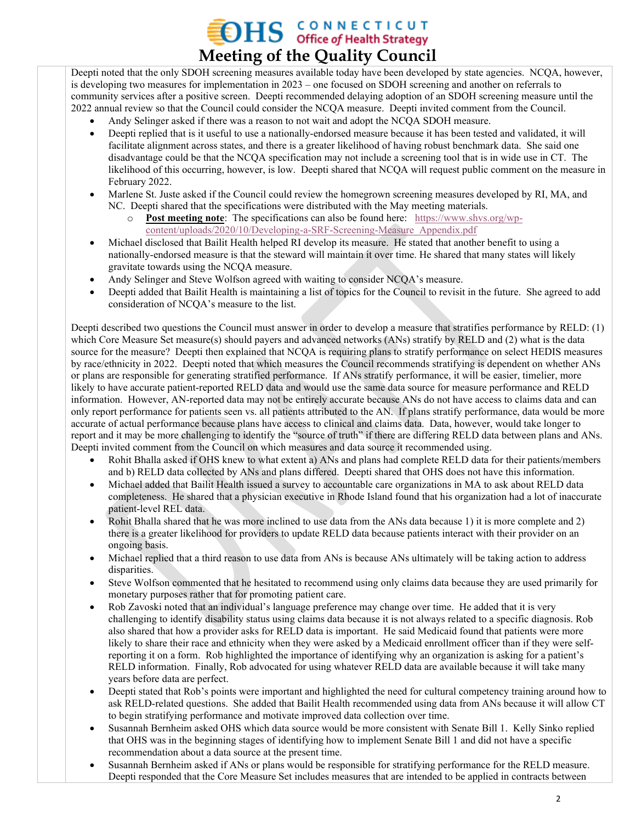## **OHS** CONNECTICUT **Meeting of the Quality Council**

Deepti noted that the only SDOH screening measures available today have been developed by state agencies. NCQA, however, is developing two measures for implementation in 2023 – one focused on SDOH screening and another on referrals to community services after a positive screen. Deepti recommended delaying adoption of an SDOH screening measure until the 2022 annual review so that the Council could consider the NCQA measure. Deepti invited comment from the Council.

- Andy Selinger asked if there was a reason to not wait and adopt the NCQA SDOH measure.
- Deepti replied that is it useful to use a nationally-endorsed measure because it has been tested and validated, it will facilitate alignment across states, and there is a greater likelihood of having robust benchmark data. She said one disadvantage could be that the NCQA specification may not include a screening tool that is in wide use in CT. The likelihood of this occurring, however, is low. Deepti shared that NCQA will request public comment on the measure in February 2022.
- Marlene St. Juste asked if the Council could review the homegrown screening measures developed by RI, MA, and NC. Deepti shared that the specifications were distributed with the May meeting materials.
	- o **Post meeting note**: The specifications can also be found here: [https://www.shvs.org/wp](https://www.shvs.org/wp-content/uploads/2020/10/Developing-a-SRF-Screening-Measure_Appendix.pdf)[content/uploads/2020/10/Developing-a-SRF-Screening-Measure\\_Appendix.pdf](https://www.shvs.org/wp-content/uploads/2020/10/Developing-a-SRF-Screening-Measure_Appendix.pdf)
- Michael disclosed that Bailit Health helped RI develop its measure. He stated that another benefit to using a nationally-endorsed measure is that the steward will maintain it over time. He shared that many states will likely gravitate towards using the NCQA measure.
- Andy Selinger and Steve Wolfson agreed with waiting to consider NCQA's measure.
- Deepti added that Bailit Health is maintaining a list of topics for the Council to revisit in the future. She agreed to add consideration of NCQA's measure to the list.

Deepti described two questions the Council must answer in order to develop a measure that stratifies performance by RELD: (1) which Core Measure Set measure(s) should payers and advanced networks (ANs) stratify by RELD and (2) what is the data source for the measure? Deepti then explained that NCQA is requiring plans to stratify performance on select HEDIS measures by race/ethnicity in 2022. Deepti noted that which measures the Council recommends stratifying is dependent on whether ANs or plans are responsible for generating stratified performance. If ANs stratify performance, it will be easier, timelier, more likely to have accurate patient-reported RELD data and would use the same data source for measure performance and RELD information. However, AN-reported data may not be entirely accurate because ANs do not have access to claims data and can only report performance for patients seen vs. all patients attributed to the AN. If plans stratify performance, data would be more accurate of actual performance because plans have access to clinical and claims data. Data, however, would take longer to report and it may be more challenging to identify the "source of truth" if there are differing RELD data between plans and ANs. Deepti invited comment from the Council on which measures and data source it recommended using.

- Rohit Bhalla asked if OHS knew to what extent a) ANs and plans had complete RELD data for their patients/members and b) RELD data collected by ANs and plans differed. Deepti shared that OHS does not have this information.
- Michael added that Bailit Health issued a survey to accountable care organizations in MA to ask about RELD data completeness. He shared that a physician executive in Rhode Island found that his organization had a lot of inaccurate patient-level REL data.
- Rohit Bhalla shared that he was more inclined to use data from the ANs data because 1) it is more complete and 2) there is a greater likelihood for providers to update RELD data because patients interact with their provider on an ongoing basis.
- Michael replied that a third reason to use data from ANs is because ANs ultimately will be taking action to address disparities.
- Steve Wolfson commented that he hesitated to recommend using only claims data because they are used primarily for monetary purposes rather that for promoting patient care.
- Rob Zavoski noted that an individual's language preference may change over time. He added that it is very challenging to identify disability status using claims data because it is not always related to a specific diagnosis. Rob also shared that how a provider asks for RELD data is important. He said Medicaid found that patients were more likely to share their race and ethnicity when they were asked by a Medicaid enrollment officer than if they were selfreporting it on a form. Rob highlighted the importance of identifying why an organization is asking for a patient's RELD information. Finally, Rob advocated for using whatever RELD data are available because it will take many years before data are perfect.
- Deepti stated that Rob's points were important and highlighted the need for cultural competency training around how to ask RELD-related questions. She added that Bailit Health recommended using data from ANs because it will allow CT to begin stratifying performance and motivate improved data collection over time.
- Susannah Bernheim asked OHS which data source would be more consistent with Senate Bill 1. Kelly Sinko replied that OHS was in the beginning stages of identifying how to implement Senate Bill 1 and did not have a specific recommendation about a data source at the present time.
- Susannah Bernheim asked if ANs or plans would be responsible for stratifying performance for the RELD measure. Deepti responded that the Core Measure Set includes measures that are intended to be applied in contracts between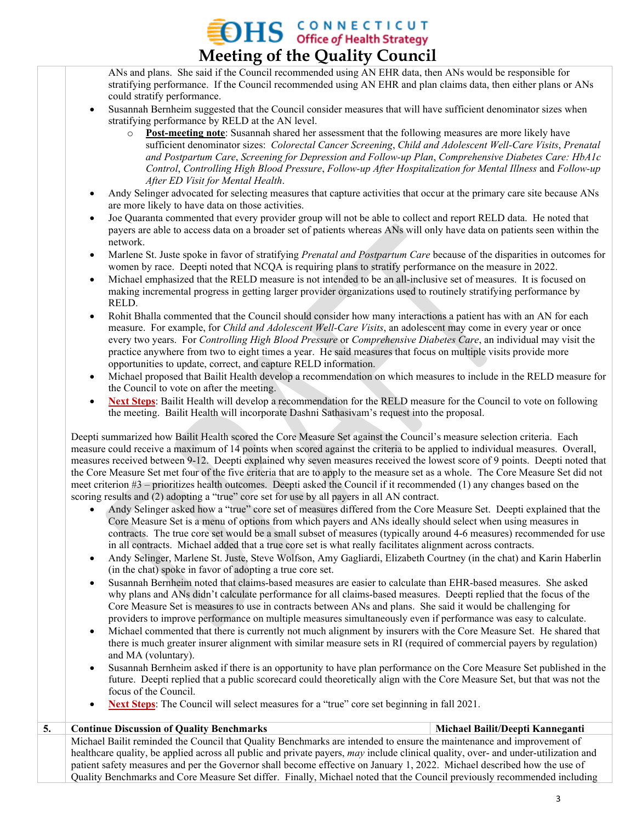#### **OHS GONNECTICUT Meeting of the Quality Council**

ANs and plans. She said if the Council recommended using AN EHR data, then ANs would be responsible for stratifying performance. If the Council recommended using AN EHR and plan claims data, then either plans or ANs could stratify performance.

- Susannah Bernheim suggested that the Council consider measures that will have sufficient denominator sizes when stratifying performance by RELD at the AN level.
	- o **Post-meeting note**: Susannah shared her assessment that the following measures are more likely have sufficient denominator sizes: *Colorectal Cancer Screening*, *Child and Adolescent Well-Care Visits*, *Prenatal and Postpartum Care*, *Screening for Depression and Follow-up Plan*, *Comprehensive Diabetes Care: HbA1c Control*, *Controlling High Blood Pressure*, *Follow-up After Hospitalization for Mental Illness* and *Follow-up After ED Visit for Mental Health*.
- Andy Selinger advocated for selecting measures that capture activities that occur at the primary care site because ANs are more likely to have data on those activities.
- Joe Quaranta commented that every provider group will not be able to collect and report RELD data. He noted that payers are able to access data on a broader set of patients whereas ANs will only have data on patients seen within the network.
- Marlene St. Juste spoke in favor of stratifying *Prenatal and Postpartum Care* because of the disparities in outcomes for women by race. Deepti noted that NCQA is requiring plans to stratify performance on the measure in 2022.
- Michael emphasized that the RELD measure is not intended to be an all-inclusive set of measures. It is focused on making incremental progress in getting larger provider organizations used to routinely stratifying performance by RELD.
- Rohit Bhalla commented that the Council should consider how many interactions a patient has with an AN for each measure. For example, for *Child and Adolescent Well-Care Visits*, an adolescent may come in every year or once every two years. For *Controlling High Blood Pressure* or *Comprehensive Diabetes Care*, an individual may visit the practice anywhere from two to eight times a year. He said measures that focus on multiple visits provide more opportunities to update, correct, and capture RELD information.
- Michael proposed that Bailit Health develop a recommendation on which measures to include in the RELD measure for the Council to vote on after the meeting.
- **Next Steps**: Bailit Health will develop a recommendation for the RELD measure for the Council to vote on following the meeting. Bailit Health will incorporate Dashni Sathasivam's request into the proposal.

Deepti summarized how Bailit Health scored the Core Measure Set against the Council's measure selection criteria. Each measure could receive a maximum of 14 points when scored against the criteria to be applied to individual measures. Overall, measures received between 9-12. Deepti explained why seven measures received the lowest score of 9 points. Deepti noted that the Core Measure Set met four of the five criteria that are to apply to the measure set as a whole. The Core Measure Set did not meet criterion #3 – prioritizes health outcomes. Deepti asked the Council if it recommended (1) any changes based on the scoring results and (2) adopting a "true" core set for use by all payers in all AN contract.

- Andy Selinger asked how a "true" core set of measures differed from the Core Measure Set. Deepti explained that the Core Measure Set is a menu of options from which payers and ANs ideally should select when using measures in contracts. The true core set would be a small subset of measures (typically around 4-6 measures) recommended for use in all contracts. Michael added that a true core set is what really facilitates alignment across contracts.
- Andy Selinger, Marlene St. Juste, Steve Wolfson, Amy Gagliardi, Elizabeth Courtney (in the chat) and Karin Haberlin (in the chat) spoke in favor of adopting a true core set.
- Susannah Bernheim noted that claims-based measures are easier to calculate than EHR-based measures. She asked why plans and ANs didn't calculate performance for all claims-based measures. Deepti replied that the focus of the Core Measure Set is measures to use in contracts between ANs and plans. She said it would be challenging for providers to improve performance on multiple measures simultaneously even if performance was easy to calculate.
- Michael commented that there is currently not much alignment by insurers with the Core Measure Set. He shared that there is much greater insurer alignment with similar measure sets in RI (required of commercial payers by regulation) and MA (voluntary).
- Susannah Bernheim asked if there is an opportunity to have plan performance on the Core Measure Set published in the future. Deepti replied that a public scorecard could theoretically align with the Core Measure Set, but that was not the focus of the Council.
- **Next Steps**: The Council will select measures for a "true" core set beginning in fall 2021.

| 5. | <b>Continue Discussion of Quality Benchmarks</b>                                                                                   | Michael Bailit/Deepti Kanneganti |  |  |
|----|------------------------------------------------------------------------------------------------------------------------------------|----------------------------------|--|--|
|    | Michael Bailit reminded the Council that Quality Benchmarks are intended to ensure the maintenance and improvement of              |                                  |  |  |
|    | healthcare quality, be applied across all public and private payers, may include clinical quality, over- and under-utilization and |                                  |  |  |
|    | patient safety measures and per the Governor shall become effective on January 1, 2022. Michael described how the use of           |                                  |  |  |
|    | Quality Benchmarks and Core Measure Set differ. Finally, Michael noted that the Council previously recommended including           |                                  |  |  |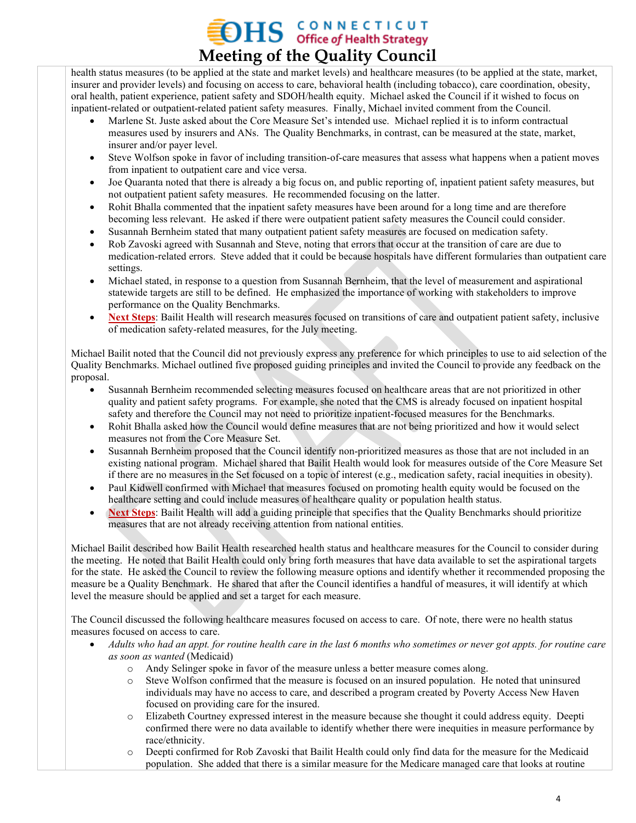### **OHS** CONNECTICUT **Meeting of the Quality Council**

health status measures (to be applied at the state and market levels) and healthcare measures (to be applied at the state, market, insurer and provider levels) and focusing on access to care, behavioral health (including tobacco), care coordination, obesity, oral health, patient experience, patient safety and SDOH/health equity. Michael asked the Council if it wished to focus on inpatient-related or outpatient-related patient safety measures. Finally, Michael invited comment from the Council.

- Marlene St. Juste asked about the Core Measure Set's intended use. Michael replied it is to inform contractual measures used by insurers and ANs. The Quality Benchmarks, in contrast, can be measured at the state, market, insurer and/or payer level.
- Steve Wolfson spoke in favor of including transition-of-care measures that assess what happens when a patient moves from inpatient to outpatient care and vice versa.
- Joe Quaranta noted that there is already a big focus on, and public reporting of, inpatient patient safety measures, but not outpatient patient safety measures. He recommended focusing on the latter.
- Rohit Bhalla commented that the inpatient safety measures have been around for a long time and are therefore becoming less relevant. He asked if there were outpatient patient safety measures the Council could consider.
- Susannah Bernheim stated that many outpatient patient safety measures are focused on medication safety.
- Rob Zavoski agreed with Susannah and Steve, noting that errors that occur at the transition of care are due to medication-related errors. Steve added that it could be because hospitals have different formularies than outpatient care settings.
- Michael stated, in response to a question from Susannah Bernheim, that the level of measurement and aspirational statewide targets are still to be defined. He emphasized the importance of working with stakeholders to improve performance on the Quality Benchmarks.
- **Next Steps**: Bailit Health will research measures focused on transitions of care and outpatient patient safety, inclusive of medication safety-related measures, for the July meeting.

Michael Bailit noted that the Council did not previously express any preference for which principles to use to aid selection of the Quality Benchmarks. Michael outlined five proposed guiding principles and invited the Council to provide any feedback on the proposal.

- Susannah Bernheim recommended selecting measures focused on healthcare areas that are not prioritized in other quality and patient safety programs. For example, she noted that the CMS is already focused on inpatient hospital safety and therefore the Council may not need to prioritize inpatient-focused measures for the Benchmarks.
- Rohit Bhalla asked how the Council would define measures that are not being prioritized and how it would select measures not from the Core Measure Set.
- Susannah Bernheim proposed that the Council identify non-prioritized measures as those that are not included in an existing national program. Michael shared that Bailit Health would look for measures outside of the Core Measure Set if there are no measures in the Set focused on a topic of interest (e.g., medication safety, racial inequities in obesity).
- Paul Kidwell confirmed with Michael that measures focused on promoting health equity would be focused on the healthcare setting and could include measures of healthcare quality or population health status.
- **Next Steps**: Bailit Health will add a guiding principle that specifies that the Quality Benchmarks should prioritize measures that are not already receiving attention from national entities.

Michael Bailit described how Bailit Health researched health status and healthcare measures for the Council to consider during the meeting. He noted that Bailit Health could only bring forth measures that have data available to set the aspirational targets for the state. He asked the Council to review the following measure options and identify whether it recommended proposing the measure be a Quality Benchmark. He shared that after the Council identifies a handful of measures, it will identify at which level the measure should be applied and set a target for each measure.

The Council discussed the following healthcare measures focused on access to care. Of note, there were no health status measures focused on access to care.

- *Adults who had an appt. for routine health care in the last 6 months who sometimes or never got appts. for routine care as soon as wanted* (Medicaid)
	- o Andy Selinger spoke in favor of the measure unless a better measure comes along.
	- o Steve Wolfson confirmed that the measure is focused on an insured population. He noted that uninsured individuals may have no access to care, and described a program created by Poverty Access New Haven focused on providing care for the insured.
	- o Elizabeth Courtney expressed interest in the measure because she thought it could address equity. Deepti confirmed there were no data available to identify whether there were inequities in measure performance by race/ethnicity.
	- o Deepti confirmed for Rob Zavoski that Bailit Health could only find data for the measure for the Medicaid population. She added that there is a similar measure for the Medicare managed care that looks at routine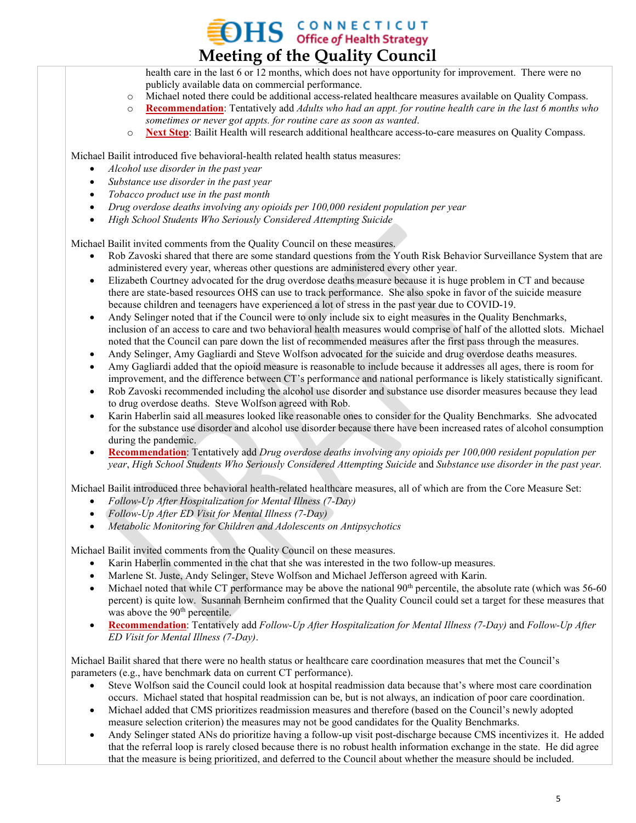health care in the last 6 or 12 months, which does not have opportunity for improvement. There were no publicly available data on commercial performance.

**Meeting of the Quality Council**

**OHS** CONNECTICUT

- o Michael noted there could be additional access-related healthcare measures available on Quality Compass.
- o **Recommendation**: Tentatively add *Adults who had an appt. for routine health care in the last 6 months who sometimes or never got appts. for routine care as soon as wanted*.
- o **Next Step**: Bailit Health will research additional healthcare access-to-care measures on Quality Compass.

Michael Bailit introduced five behavioral-health related health status measures:

- *Alcohol use disorder in the past year*
- *Substance use disorder in the past year*
- *Tobacco product use in the past month*
- *Drug overdose deaths involving any opioids per 100,000 resident population per year*
- *High School Students Who Seriously Considered Attempting Suicide*

Michael Bailit invited comments from the Quality Council on these measures.

- Rob Zavoski shared that there are some standard questions from the Youth Risk Behavior Surveillance System that are administered every year, whereas other questions are administered every other year.
- Elizabeth Courtney advocated for the drug overdose deaths measure because it is huge problem in CT and because there are state-based resources OHS can use to track performance. She also spoke in favor of the suicide measure because children and teenagers have experienced a lot of stress in the past year due to COVID-19.
- Andy Selinger noted that if the Council were to only include six to eight measures in the Quality Benchmarks, inclusion of an access to care and two behavioral health measures would comprise of half of the allotted slots. Michael noted that the Council can pare down the list of recommended measures after the first pass through the measures.
- Andy Selinger, Amy Gagliardi and Steve Wolfson advocated for the suicide and drug overdose deaths measures.
- Amy Gagliardi added that the opioid measure is reasonable to include because it addresses all ages, there is room for improvement, and the difference between CT's performance and national performance is likely statistically significant.
- Rob Zavoski recommended including the alcohol use disorder and substance use disorder measures because they lead to drug overdose deaths. Steve Wolfson agreed with Rob.
- Karin Haberlin said all measures looked like reasonable ones to consider for the Quality Benchmarks. She advocated for the substance use disorder and alcohol use disorder because there have been increased rates of alcohol consumption during the pandemic.
- **Recommendation**: Tentatively add *Drug overdose deaths involving any opioids per 100,000 resident population per year*, *High School Students Who Seriously Considered Attempting Suicide* and *Substance use disorder in the past year.*

Michael Bailit introduced three behavioral health-related healthcare measures, all of which are from the Core Measure Set:

- *Follow-Up After Hospitalization for Mental Illness (7-Day)*
- *Follow-Up After ED Visit for Mental Illness (7-Day)*
- *Metabolic Monitoring for Children and Adolescents on Antipsychotics*

Michael Bailit invited comments from the Quality Council on these measures.

- Karin Haberlin commented in the chat that she was interested in the two follow-up measures.
- Marlene St. Juste, Andy Selinger, Steve Wolfson and Michael Jefferson agreed with Karin.
- Michael noted that while CT performance may be above the national  $90<sup>th</sup>$  percentile, the absolute rate (which was 56-60) percent) is quite low. Susannah Bernheim confirmed that the Quality Council could set a target for these measures that was above the 90<sup>th</sup> percentile.
- **Recommendation**: Tentatively add *Follow-Up After Hospitalization for Mental Illness (7-Day)* and *Follow-Up After ED Visit for Mental Illness (7-Day)*.

Michael Bailit shared that there were no health status or healthcare care coordination measures that met the Council's parameters (e.g., have benchmark data on current CT performance).

- Steve Wolfson said the Council could look at hospital readmission data because that's where most care coordination occurs. Michael stated that hospital readmission can be, but is not always, an indication of poor care coordination.
- Michael added that CMS prioritizes readmission measures and therefore (based on the Council's newly adopted measure selection criterion) the measures may not be good candidates for the Quality Benchmarks.
- Andy Selinger stated ANs do prioritize having a follow-up visit post-discharge because CMS incentivizes it. He added that the referral loop is rarely closed because there is no robust health information exchange in the state. He did agree that the measure is being prioritized, and deferred to the Council about whether the measure should be included.